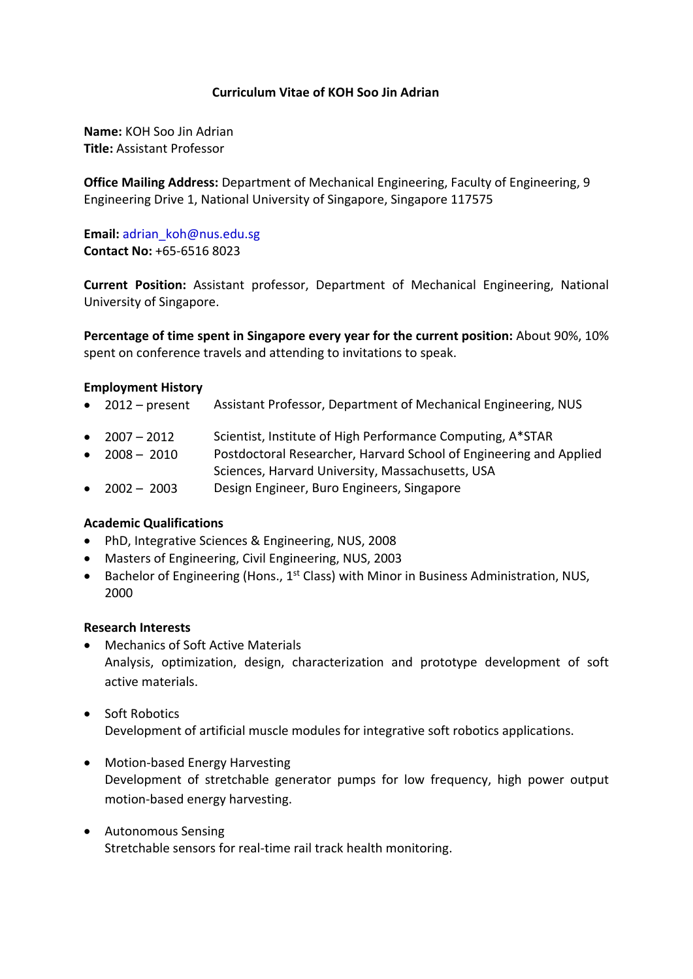# **Curriculum Vitae of KOH Soo Jin Adrian**

**Name:** KOH Soo Jin Adrian **Title:** Assistant Professor

**Office Mailing Address:** Department of Mechanical Engineering, Faculty of Engineering, 9 Engineering Drive 1, National University of Singapore, Singapore 117575

**Email:** [adrian\\_koh@nus.edu.sg](mailto:adrian_koh@nus.edu.sg) **Contact No:** +65-6516 8023

**Current Position:** Assistant professor, Department of Mechanical Engineering, National University of Singapore.

**Percentage of time spent in Singapore every year for the current position:** About 90%, 10% spent on conference travels and attending to invitations to speak.

## **Employment History**

- 2012 present Assistant Professor, Department of Mechanical Engineering, NUS
- 2007 2012 Scientist, Institute of High Performance Computing, A\*STAR
- 2008 2010 Postdoctoral Researcher, Harvard School of Engineering and Applied Sciences, Harvard University, Massachusetts, USA
- 2002 2003 Design Engineer, Buro Engineers, Singapore

## **Academic Qualifications**

- PhD, Integrative Sciences & Engineering, NUS, 2008
- Masters of Engineering, Civil Engineering, NUS, 2003
- Bachelor of Engineering (Hons., 1<sup>st</sup> Class) with Minor in Business Administration, NUS, 2000

#### **Research Interests**

- Mechanics of Soft Active Materials Analysis, optimization, design, characterization and prototype development of soft active materials.
- Soft Robotics Development of artificial muscle modules for integrative soft robotics applications.
- Motion-based Energy Harvesting Development of stretchable generator pumps for low frequency, high power output motion-based energy harvesting.
- Autonomous Sensing Stretchable sensors for real-time rail track health monitoring.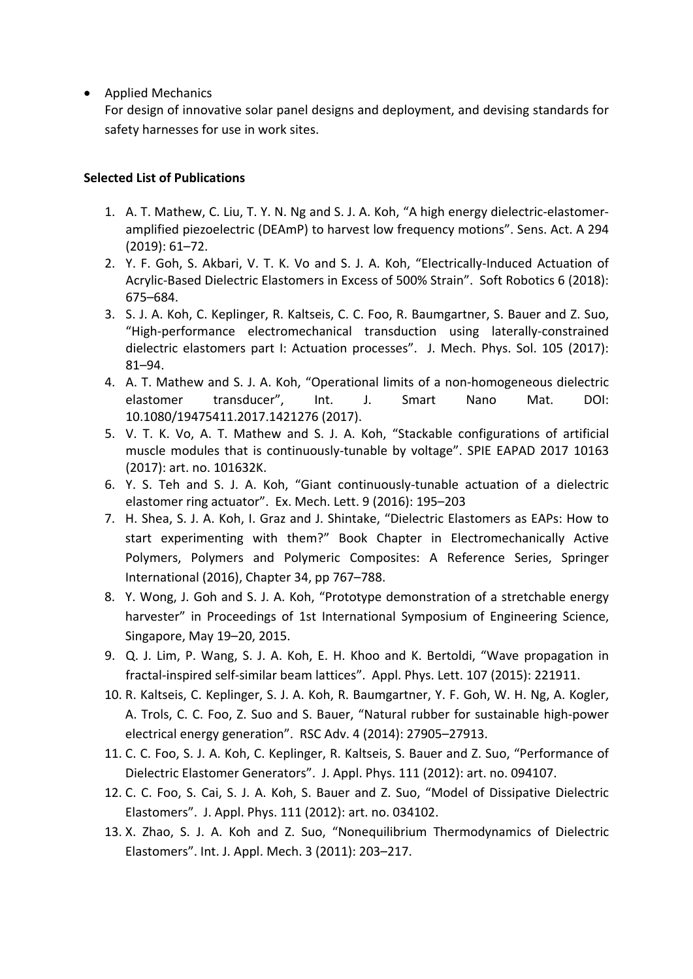• Applied Mechanics

For design of innovative solar panel designs and deployment, and devising standards for safety harnesses for use in work sites.

# **Selected List of Publications**

- 1. A. T. Mathew, C. Liu, T. Y. N. Ng and S. J. A. Koh, "A high energy dielectric-elastomeramplified piezoelectric (DEAmP) to harvest low frequency motions". Sens. Act. A 294 (2019): 61–72.
- 2. Y. F. Goh, S. Akbari, V. T. K. Vo and S. J. A. Koh, "Electrically-Induced Actuation of Acrylic-Based Dielectric Elastomers in Excess of 500% Strain". Soft Robotics 6 (2018): 675–684.
- 3. S. J. A. Koh, C. Keplinger, R. Kaltseis, C. C. Foo, R. Baumgartner, S. Bauer and Z. Suo, "High-performance electromechanical transduction using laterally-constrained dielectric elastomers part I: Actuation processes". J. Mech. Phys. Sol. 105 (2017): 81–94.
- 4. A. T. Mathew and S. J. A. Koh, "Operational limits of a non-homogeneous dielectric elastomer transducer", Int. J. Smart Nano Mat. DOI: 10.1080/19475411.2017.1421276 (2017).
- 5. V. T. K. Vo, A. T. Mathew and S. J. A. Koh, "Stackable configurations of artificial muscle modules that is continuously-tunable by voltage". SPIE EAPAD 2017 10163 (2017): art. no. 101632K.
- 6. Y. S. Teh and S. J. A. Koh, "Giant continuously-tunable actuation of a dielectric elastomer ring actuator". Ex. Mech. Lett. 9 (2016): 195–203
- 7. H. Shea, S. J. A. Koh, I. Graz and J. Shintake, "Dielectric Elastomers as EAPs: How to start experimenting with them?" Book Chapter in Electromechanically Active Polymers, Polymers and Polymeric Composites: A Reference Series, Springer International (2016), Chapter 34, pp 767–788.
- 8. Y. Wong, J. Goh and S. J. A. Koh, "Prototype demonstration of a stretchable energy harvester" in Proceedings of 1st International Symposium of Engineering Science, Singapore, May 19–20, 2015.
- 9. Q. J. Lim, P. Wang, S. J. A. Koh, E. H. Khoo and K. Bertoldi, "Wave propagation in fractal-inspired self-similar beam lattices". Appl. Phys. Lett. 107 (2015): 221911.
- 10. R. Kaltseis, C. Keplinger, S. J. A. Koh, R. Baumgartner, Y. F. Goh, W. H. Ng, A. Kogler, A. Trols, C. C. Foo, Z. Suo and S. Bauer, "Natural rubber for sustainable high-power electrical energy generation". RSC Adv. 4 (2014): 27905–27913.
- 11. C. C. Foo, S. J. A. Koh, C. Keplinger, R. Kaltseis, S. Bauer and Z. Suo, "Performance of Dielectric Elastomer Generators". J. Appl. Phys. 111 (2012): art. no. 094107.
- 12. C. C. Foo, S. Cai, S. J. A. Koh, S. Bauer and Z. Suo, "Model of Dissipative Dielectric Elastomers". J. Appl. Phys. 111 (2012): art. no. 034102.
- 13. X. Zhao, S. J. A. Koh and Z. Suo, "Nonequilibrium Thermodynamics of Dielectric Elastomers". Int. J. Appl. Mech. 3 (2011): 203–217.